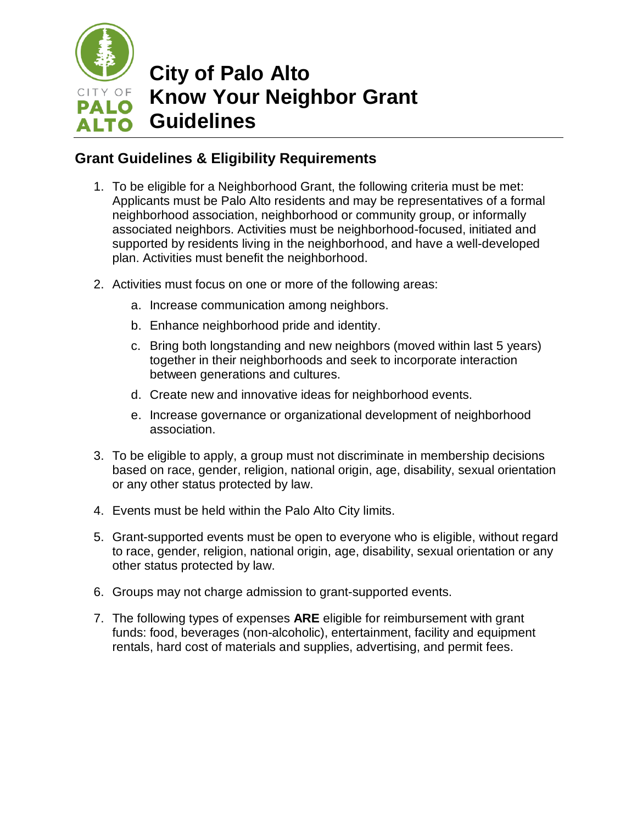

## **City of Palo Alto Know Your Neighbor Grant Guidelines**

## **Grant Guidelines & Eligibility Requirements**

- 1. To be eligible for a Neighborhood Grant, the following criteria must be met: Applicants must be Palo Alto residents and may be representatives of a formal neighborhood association, neighborhood or community group, or informally associated neighbors. Activities must be neighborhood-focused, initiated and supported by residents living in the neighborhood, and have a well-developed plan. Activities must benefit the neighborhood.
- 2. Activities must focus on one or more of the following areas:
	- a. Increase communication among neighbors.
	- b. Enhance neighborhood pride and identity.
	- c. Bring both longstanding and new neighbors (moved within last 5 years) together in their neighborhoods and seek to incorporate interaction between generations and cultures.
	- d. Create new and innovative ideas for neighborhood events.
	- e. Increase governance or organizational development of neighborhood association.
- 3. To be eligible to apply, a group must not discriminate in membership decisions based on race, gender, religion, national origin, age, disability, sexual orientation or any other status protected by law.
- 4. Events must be held within the Palo Alto City limits.
- 5. Grant-supported events must be open to everyone who is eligible, without regard to race, gender, religion, national origin, age, disability, sexual orientation or any other status protected by law.
- 6. Groups may not charge admission to grant-supported events.
- 7. The following types of expenses **ARE** eligible for reimbursement with grant funds: food, beverages (non-alcoholic), entertainment, facility and equipment rentals, hard cost of materials and supplies, advertising, and permit fees.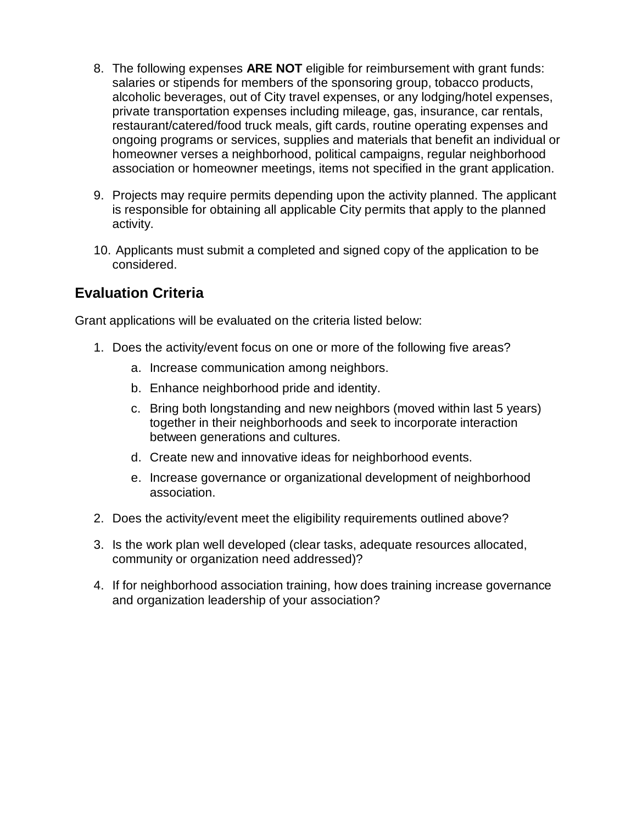- 8. The following expenses **ARE NOT** eligible for reimbursement with grant funds: salaries or stipends for members of the sponsoring group, tobacco products, alcoholic beverages, out of City travel expenses, or any lodging/hotel expenses, private transportation expenses including mileage, gas, insurance, car rentals, restaurant/catered/food truck meals, gift cards, routine operating expenses and ongoing programs or services, supplies and materials that benefit an individual or homeowner verses a neighborhood, political campaigns, regular neighborhood association or homeowner meetings, items not specified in the grant application.
- 9. Projects may require permits depending upon the activity planned. The applicant is responsible for obtaining all applicable City permits that apply to the planned activity.
- 10. Applicants must submit a completed and signed copy of the application to be considered.

## **Evaluation Criteria**

Grant applications will be evaluated on the criteria listed below:

- 1. Does the activity/event focus on one or more of the following five areas?
	- a. Increase communication among neighbors.
	- b. Enhance neighborhood pride and identity.
	- c. Bring both longstanding and new neighbors (moved within last 5 years) together in their neighborhoods and seek to incorporate interaction between generations and cultures.
	- d. Create new and innovative ideas for neighborhood events.
	- e. Increase governance or organizational development of neighborhood association.
- 2. Does the activity/event meet the eligibility requirements outlined above?
- 3. Is the work plan well developed (clear tasks, adequate resources allocated, community or organization need addressed)?
- 4. If for neighborhood association training, how does training increase governance and organization leadership of your association?